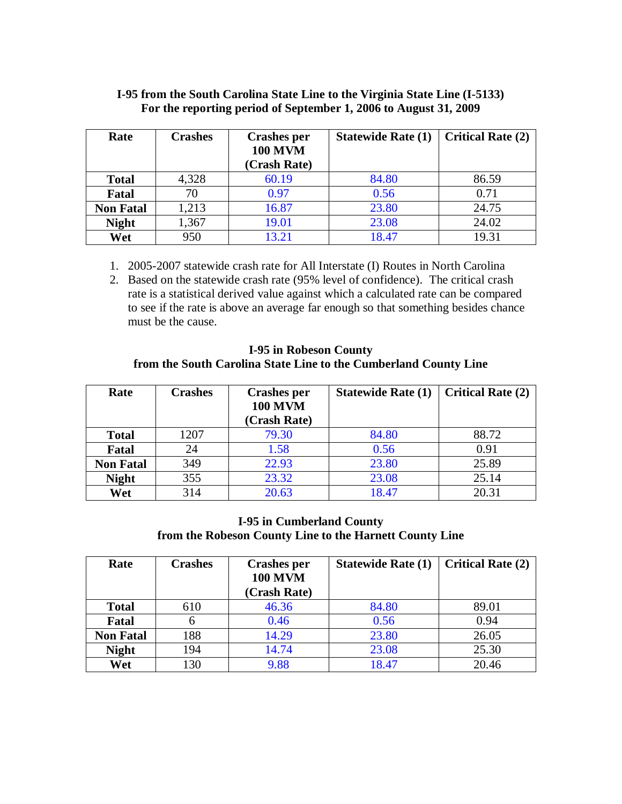| Rate             | <b>Crashes</b> | <b>Crashes per</b><br><b>100 MVM</b><br>(Crash Rate) | <b>Statewide Rate (1)</b> | <b>Critical Rate (2)</b> |
|------------------|----------------|------------------------------------------------------|---------------------------|--------------------------|
| <b>Total</b>     | 4,328          | 60.19                                                | 84.80                     | 86.59                    |
| Fatal            | 70             | 0.97                                                 | 0.56                      | 0.71                     |
| <b>Non Fatal</b> | 1,213          | 16.87                                                | 23.80                     | 24.75                    |
| <b>Night</b>     | 1,367          | 19.01                                                | 23.08                     | 24.02                    |
| Wet              | 950            | 13.21                                                | 18.47                     | 19.31                    |

### **I-95 from the South Carolina State Line to the Virginia State Line (I-5133) For the reporting period of September 1, 2006 to August 31, 2009**

- 1. 2005-2007 statewide crash rate for All Interstate (I) Routes in North Carolina
- 2. Based on the statewide crash rate (95% level of confidence). The critical crash rate is a statistical derived value against which a calculated rate can be compared to see if the rate is above an average far enough so that something besides chance must be the cause.

#### **I-95 in Robeson County from the South Carolina State Line to the Cumberland County Line**

| Rate             | <b>Crashes</b> | <b>Crashes per</b><br><b>100 MVM</b><br>(Crash Rate) | <b>Statewide Rate (1)</b> | <b>Critical Rate (2)</b> |
|------------------|----------------|------------------------------------------------------|---------------------------|--------------------------|
| <b>Total</b>     | 1207           | 79.30                                                | 84.80                     | 88.72                    |
| Fatal            | 24             | 1.58                                                 | 0.56                      | 0.91                     |
| <b>Non Fatal</b> | 349            | 22.93                                                | 23.80                     | 25.89                    |
| <b>Night</b>     | 355            | 23.32                                                | 23.08                     | 25.14                    |
| Wet              | 314            | 20.63                                                | 18.47                     | 20.31                    |

#### **I-95 in Cumberland County from the Robeson County Line to the Harnett County Line**

| Rate             | <b>Crashes</b> | <b>Crashes per</b><br><b>100 MVM</b><br>(Crash Rate) | <b>Statewide Rate (1)</b> | <b>Critical Rate (2)</b> |
|------------------|----------------|------------------------------------------------------|---------------------------|--------------------------|
| <b>Total</b>     | 610            | 46.36                                                | 84.80                     | 89.01                    |
| <b>Fatal</b>     |                | 0.46                                                 | 0.56                      | 0.94                     |
| <b>Non Fatal</b> | 188            | 14.29                                                | 23.80                     | 26.05                    |
| <b>Night</b>     | 194            | 14.74                                                | 23.08                     | 25.30                    |
| Wet              | 130            | 9.88                                                 | 18.47                     | 20.46                    |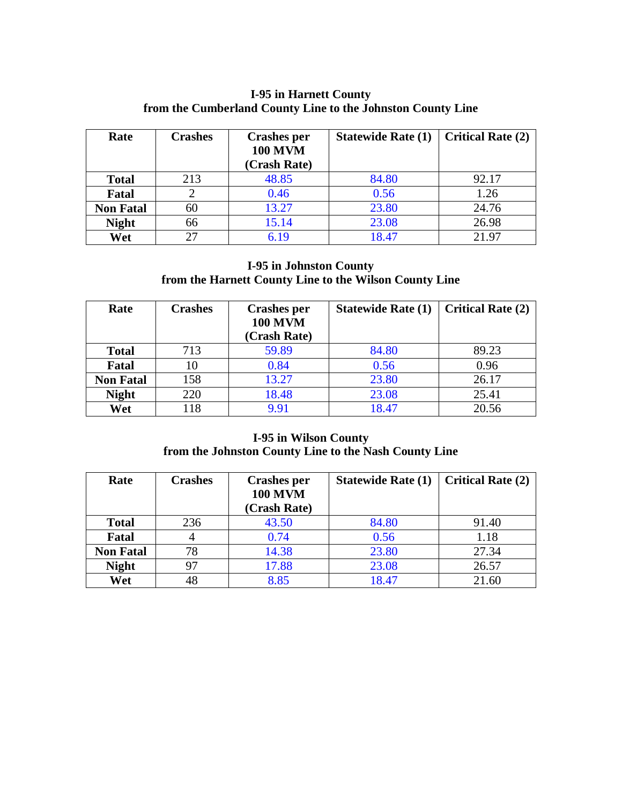### **I-95 in Harnett County from the Cumberland County Line to the Johnston County Line**

| Rate             | <b>Crashes</b> | <b>Crashes per</b><br><b>100 MVM</b><br>(Crash Rate) | <b>Statewide Rate (1)</b> | <b>Critical Rate (2)</b> |
|------------------|----------------|------------------------------------------------------|---------------------------|--------------------------|
| <b>Total</b>     | 213            | 48.85                                                | 84.80                     | 92.17                    |
| Fatal            |                | 0.46                                                 | 0.56                      | 1.26                     |
| <b>Non Fatal</b> | 60             | 13.27                                                | 23.80                     | 24.76                    |
| <b>Night</b>     | 66             | 15.14                                                | 23.08                     | 26.98                    |
| Wet              | 27             | 6.19                                                 | 18.47                     | 21.97                    |

### **I-95 in Johnston County from the Harnett County Line to the Wilson County Line**

| Rate             | <b>Crashes</b> | <b>Crashes per</b><br><b>100 MVM</b><br>(Crash Rate) | <b>Statewide Rate (1)</b> | <b>Critical Rate (2)</b> |
|------------------|----------------|------------------------------------------------------|---------------------------|--------------------------|
| <b>Total</b>     | 713            | 59.89                                                | 84.80                     | 89.23                    |
| Fatal            | 10             | 0.84                                                 | 0.56                      | 0.96                     |
| <b>Non Fatal</b> | 158            | 13.27                                                | 23.80                     | 26.17                    |
| <b>Night</b>     | 220            | 18.48                                                | 23.08                     | 25.41                    |
| Wet              | 118            | 9.91                                                 | 18.47                     | 20.56                    |

### **I-95 in Wilson County from the Johnston County Line to the Nash County Line**

| Rate             | <b>Crashes</b> | <b>Crashes per</b><br><b>100 MVM</b><br>(Crash Rate) | <b>Statewide Rate (1)</b> | <b>Critical Rate (2)</b> |
|------------------|----------------|------------------------------------------------------|---------------------------|--------------------------|
| <b>Total</b>     | 236            | 43.50                                                | 84.80                     | 91.40                    |
| Fatal            |                | 0.74                                                 | 0.56                      | 1.18                     |
| <b>Non Fatal</b> | 78             | 14.38                                                | 23.80                     | 27.34                    |
| <b>Night</b>     | 97             | 17.88                                                | 23.08                     | 26.57                    |
| Wet              | 48             | 8.85                                                 | 18.47                     | 21.60                    |